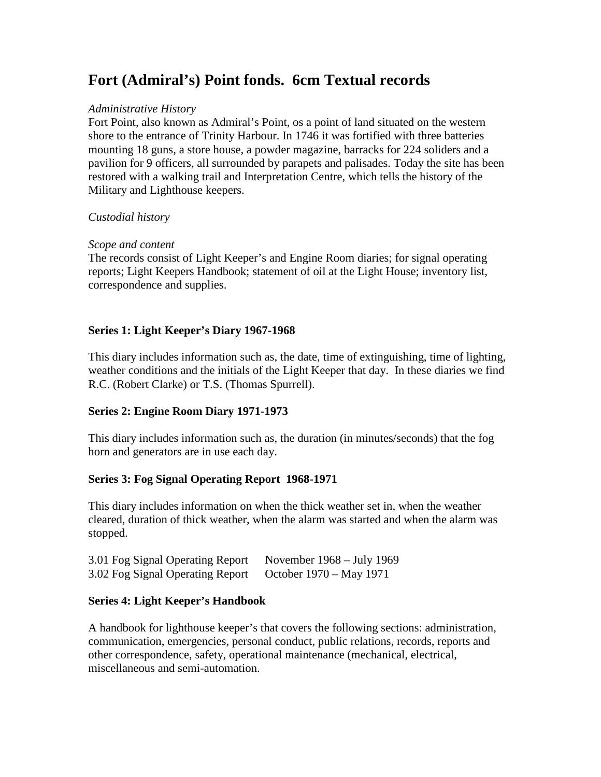# **Fort (Admiral's) Point fonds. 6cm Textual records**

#### *Administrative History*

Fort Point, also known as Admiral's Point, os a point of land situated on the western shore to the entrance of Trinity Harbour. In 1746 it was fortified with three batteries mounting 18 guns, a store house, a powder magazine, barracks for 224 soliders and a pavilion for 9 officers, all surrounded by parapets and palisades. Today the site has been restored with a walking trail and Interpretation Centre, which tells the history of the Military and Lighthouse keepers.

## *Custodial history*

#### *Scope and content*

The records consist of Light Keeper's and Engine Room diaries; for signal operating reports; Light Keepers Handbook; statement of oil at the Light House; inventory list, correspondence and supplies.

## **Series 1: Light Keeper's Diary 1967-1968**

This diary includes information such as, the date, time of extinguishing, time of lighting, weather conditions and the initials of the Light Keeper that day. In these diaries we find R.C. (Robert Clarke) or T.S. (Thomas Spurrell).

#### **Series 2: Engine Room Diary 1971-1973**

This diary includes information such as, the duration (in minutes/seconds) that the fog horn and generators are in use each day.

#### **Series 3: Fog Signal Operating Report 1968-1971**

This diary includes information on when the thick weather set in, when the weather cleared, duration of thick weather, when the alarm was started and when the alarm was stopped.

| 3.01 Fog Signal Operating Report | November $1968 - \text{July } 1969$ |
|----------------------------------|-------------------------------------|
| 3.02 Fog Signal Operating Report | October 1970 – May 1971             |

#### **Series 4: Light Keeper's Handbook**

A handbook for lighthouse keeper's that covers the following sections: administration, communication, emergencies, personal conduct, public relations, records, reports and other correspondence, safety, operational maintenance (mechanical, electrical, miscellaneous and semi-automation.